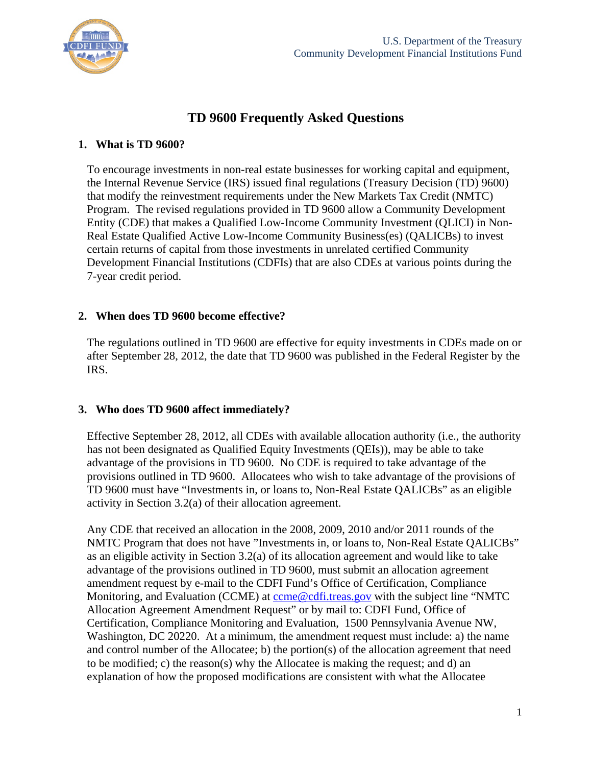

# **TD 9600 Frequently Asked Questions**

#### **1. What is TD 9600?**

To encourage investments in non-real estate businesses for working capital and equipment, the Internal Revenue Service (IRS) issued final regulations (Treasury Decision (TD) 9600) that modify the reinvestment requirements under the New Markets Tax Credit (NMTC) Program. The revised regulations provided in TD 9600 allow a Community Development Entity (CDE) that makes a Qualified Low-Income Community Investment (QLICI) in Non-Real Estate Qualified Active Low-Income Community Business(es) (QALICBs) to invest certain returns of capital from those investments in unrelated certified Community Development Financial Institutions (CDFIs) that are also CDEs at various points during the 7-year credit period.

### **2. When does TD 9600 become effective?**

The regulations outlined in TD 9600 are effective for equity investments in CDEs made on or after September 28, 2012, the date that TD 9600 was published in the Federal Register by the IRS.

### **3. Who does TD 9600 affect immediately?**

Effective September 28, 2012, all CDEs with available allocation authority (i.e., the authority has not been designated as Qualified Equity Investments (QEIs)), may be able to take advantage of the provisions in TD 9600. No CDE is required to take advantage of the provisions outlined in TD 9600. Allocatees who wish to take advantage of the provisions of TD 9600 must have "Investments in, or loans to, Non-Real Estate QALICBs" as an eligible activity in Section 3.2(a) of their allocation agreement.

Any CDE that received an allocation in the 2008, 2009, 2010 and/or 2011 rounds of the NMTC Program that does not have "Investments in, or loans to, Non-Real Estate QALICBs" as an eligible activity in Section 3.2(a) of its allocation agreement and would like to take advantage of the provisions outlined in TD 9600, must submit an allocation agreement amendment request by e-mail to the CDFI Fund's Office of Certification, Compliance Monitoring, and Evaluation (CCME) at ccme@cdfi.treas.gov with the subject line "NMTC Allocation Agreement Amendment Request" or by mail to: CDFI Fund, Office of Certification, Compliance Monitoring and Evaluation, 1500 Pennsylvania Avenue NW, Washington, DC 20220. At a minimum, the amendment request must include: a) the name and control number of the Allocatee; b) the portion(s) of the allocation agreement that need to be modified; c) the reason(s) why the Allocatee is making the request; and d) an explanation of how the proposed modifications are consistent with what the Allocatee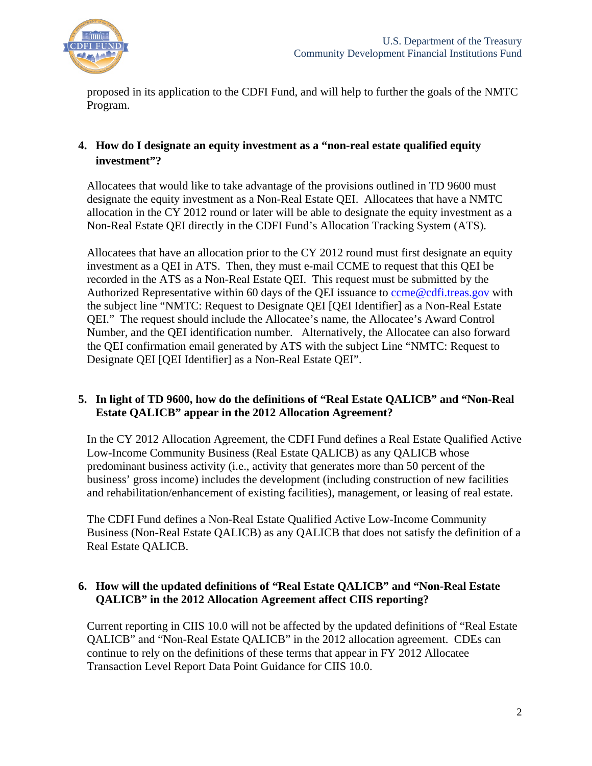

proposed in its application to the CDFI Fund, and will help to further the goals of the NMTC Program.

## **4. How do I designate an equity investment as a "non-real estate qualified equity investment"?**

Allocatees that would like to take advantage of the provisions outlined in TD 9600 must designate the equity investment as a Non-Real Estate QEI. Allocatees that have a NMTC allocation in the CY 2012 round or later will be able to designate the equity investment as a Non-Real Estate QEI directly in the CDFI Fund's Allocation Tracking System (ATS).

Allocatees that have an allocation prior to the CY 2012 round must first designate an equity investment as a QEI in ATS. Then, they must e-mail CCME to request that this QEI be recorded in the ATS as a Non-Real Estate QEI. This request must be submitted by the Authorized Representative within 60 days of the QEI issuance to come@cdfi.treas.gov with the subject line "NMTC: Request to Designate QEI [QEI Identifier] as a Non-Real Estate QEI." The request should include the Allocatee's name, the Allocatee's Award Control Number, and the QEI identification number. Alternatively, the Allocatee can also forward the QEI confirmation email generated by ATS with the subject Line "NMTC: Request to Designate QEI [QEI Identifier] as a Non-Real Estate QEI".

### **5. In light of TD 9600, how do the definitions of "Real Estate QALICB" and "Non-Real Estate QALICB" appear in the 2012 Allocation Agreement?**

In the CY 2012 Allocation Agreement, the CDFI Fund defines a Real Estate Qualified Active Low-Income Community Business (Real Estate QALICB) as any QALICB whose predominant business activity (i.e., activity that generates more than 50 percent of the business' gross income) includes the development (including construction of new facilities and rehabilitation/enhancement of existing facilities), management, or leasing of real estate.

The CDFI Fund defines a Non-Real Estate Qualified Active Low-Income Community Business (Non-Real Estate QALICB) as any QALICB that does not satisfy the definition of a Real Estate QALICB.

### **6. How will the updated definitions of "Real Estate QALICB" and "Non-Real Estate QALICB" in the 2012 Allocation Agreement affect CIIS reporting?**

Current reporting in CIIS 10.0 will not be affected by the updated definitions of "Real Estate QALICB" and "Non-Real Estate QALICB" in the 2012 allocation agreement. CDEs can continue to rely on the definitions of these terms that appear in FY 2012 Allocatee Transaction Level Report Data Point Guidance for CIIS 10.0.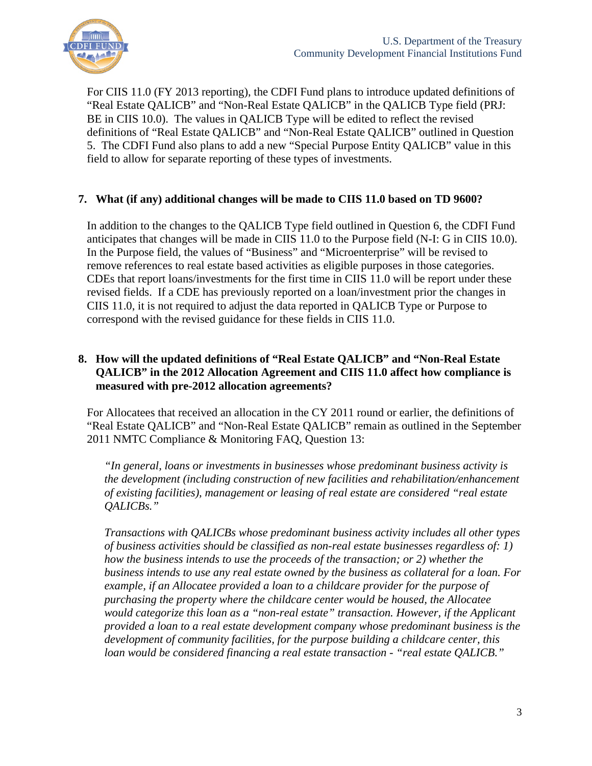

For CIIS 11.0 (FY 2013 reporting), the CDFI Fund plans to introduce updated definitions of "Real Estate QALICB" and "Non-Real Estate QALICB" in the QALICB Type field (PRJ: BE in CIIS 10.0). The values in QALICB Type will be edited to reflect the revised definitions of "Real Estate QALICB" and "Non-Real Estate QALICB" outlined in Question 5. The CDFI Fund also plans to add a new "Special Purpose Entity QALICB" value in this field to allow for separate reporting of these types of investments.

#### **7. What (if any) additional changes will be made to CIIS 11.0 based on TD 9600?**

In addition to the changes to the QALICB Type field outlined in Question 6, the CDFI Fund anticipates that changes will be made in CIIS 11.0 to the Purpose field (N-I: G in CIIS 10.0). In the Purpose field, the values of "Business" and "Microenterprise" will be revised to remove references to real estate based activities as eligible purposes in those categories. CDEs that report loans/investments for the first time in CIIS 11.0 will be report under these revised fields. If a CDE has previously reported on a loan/investment prior the changes in CIIS 11.0, it is not required to adjust the data reported in QALICB Type or Purpose to correspond with the revised guidance for these fields in CIIS 11.0.

## **8. How will the updated definitions of "Real Estate QALICB" and "Non-Real Estate QALICB" in the 2012 Allocation Agreement and CIIS 11.0 affect how compliance is measured with pre-2012 allocation agreements?**

For Allocatees that received an allocation in the CY 2011 round or earlier, the definitions of "Real Estate QALICB" and "Non-Real Estate QALICB" remain as outlined in the September 2011 NMTC Compliance & Monitoring FAQ, Question 13:

*"In general, loans or investments in businesses whose predominant business activity is the development (including construction of new facilities and rehabilitation/enhancement of existing facilities), management or leasing of real estate are considered "real estate QALICBs."* 

*Transactions with QALICBs whose predominant business activity includes all other types of business activities should be classified as non-real estate businesses regardless of: 1) how the business intends to use the proceeds of the transaction; or 2) whether the business intends to use any real estate owned by the business as collateral for a loan. For example, if an Allocatee provided a loan to a childcare provider for the purpose of purchasing the property where the childcare center would be housed, the Allocatee would categorize this loan as a "non-real estate" transaction. However, if the Applicant provided a loan to a real estate development company whose predominant business is the development of community facilities, for the purpose building a childcare center, this loan would be considered financing a real estate transaction - "real estate QALICB."*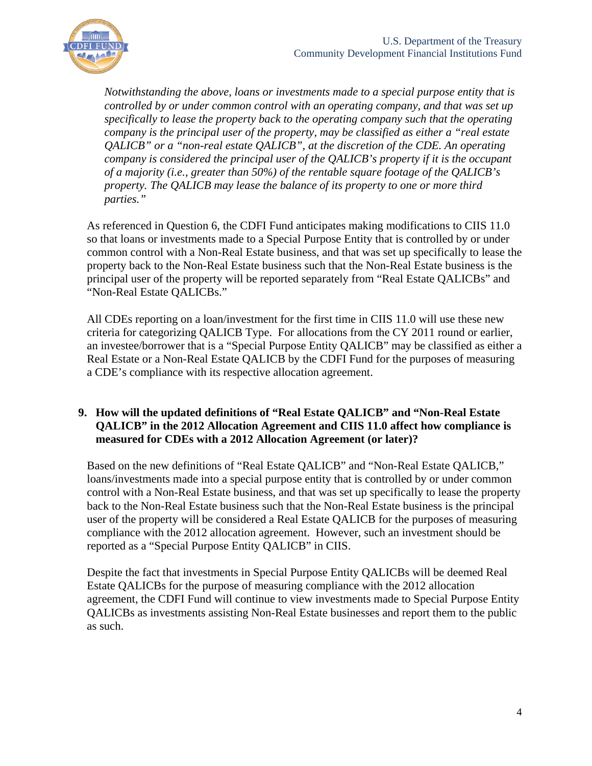

*Notwithstanding the above, loans or investments made to a special purpose entity that is controlled by or under common control with an operating company, and that was set up specifically to lease the property back to the operating company such that the operating company is the principal user of the property, may be classified as either a "real estate QALICB" or a "non-real estate QALICB", at the discretion of the CDE. An operating company is considered the principal user of the QALICB's property if it is the occupant of a majority (i.e., greater than 50%) of the rentable square footage of the QALICB's property. The QALICB may lease the balance of its property to one or more third parties."* 

As referenced in Question 6, the CDFI Fund anticipates making modifications to CIIS 11.0 so that loans or investments made to a Special Purpose Entity that is controlled by or under common control with a Non-Real Estate business, and that was set up specifically to lease the property back to the Non-Real Estate business such that the Non-Real Estate business is the principal user of the property will be reported separately from "Real Estate QALICBs" and "Non-Real Estate QALICBs."

All CDEs reporting on a loan/investment for the first time in CIIS 11.0 will use these new criteria for categorizing QALICB Type. For allocations from the CY 2011 round or earlier, an investee/borrower that is a "Special Purpose Entity QALICB" may be classified as either a Real Estate or a Non-Real Estate QALICB by the CDFI Fund for the purposes of measuring a CDE's compliance with its respective allocation agreement.

## **9. How will the updated definitions of "Real Estate QALICB" and "Non-Real Estate QALICB" in the 2012 Allocation Agreement and CIIS 11.0 affect how compliance is measured for CDEs with a 2012 Allocation Agreement (or later)?**

Based on the new definitions of "Real Estate QALICB" and "Non-Real Estate QALICB," loans/investments made into a special purpose entity that is controlled by or under common control with a Non-Real Estate business, and that was set up specifically to lease the property back to the Non-Real Estate business such that the Non-Real Estate business is the principal user of the property will be considered a Real Estate QALICB for the purposes of measuring compliance with the 2012 allocation agreement. However, such an investment should be reported as a "Special Purpose Entity QALICB" in CIIS.

Despite the fact that investments in Special Purpose Entity QALICBs will be deemed Real Estate QALICBs for the purpose of measuring compliance with the 2012 allocation agreement, the CDFI Fund will continue to view investments made to Special Purpose Entity QALICBs as investments assisting Non-Real Estate businesses and report them to the public as such.